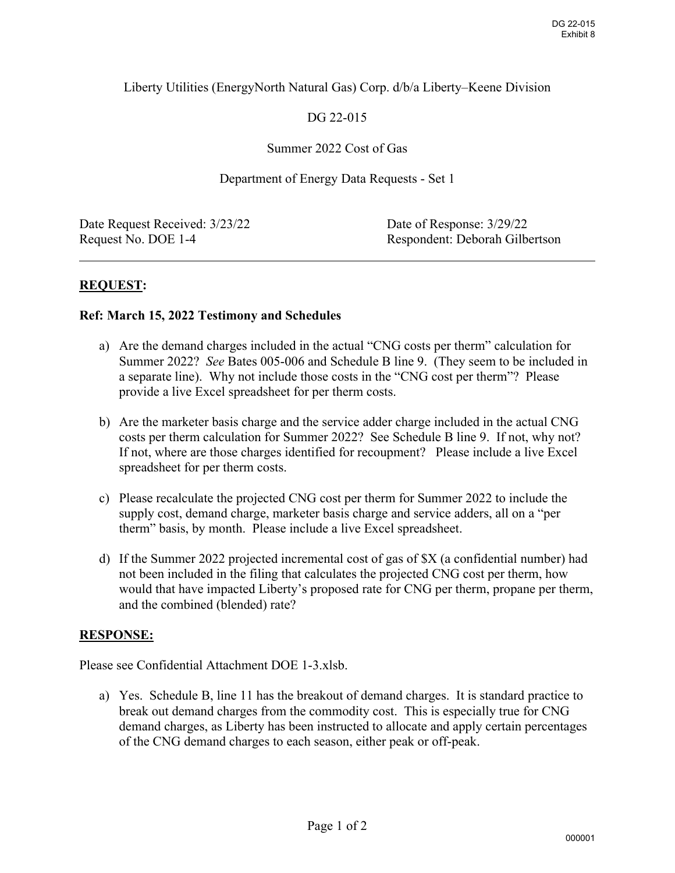## Liberty Utilities (EnergyNorth Natural Gas) Corp. d/b/a Liberty–Keene Division

# DG 22-015

### Summer 2022 Cost of Gas

#### Department of Energy Data Requests - Set 1

Date Request Received:  $3/23/22$  Date of Response:  $3/29/22$ 

Request No. DOE 1-4 Respondent: Deborah Gilbertson

 $\overline{a}$ 

## **REQUEST:**

#### **Ref: March 15, 2022 Testimony and Schedules**

- a) Are the demand charges included in the actual "CNG costs per therm" calculation for Summer 2022? *See* Bates 005-006 and Schedule B line 9. (They seem to be included in a separate line). Why not include those costs in the "CNG cost per therm"? Please provide a live Excel spreadsheet for per therm costs.
- b) Are the marketer basis charge and the service adder charge included in the actual CNG costs per therm calculation for Summer 2022? See Schedule B line 9. If not, why not? If not, where are those charges identified for recoupment? Please include a live Excel spreadsheet for per therm costs.
- c) Please recalculate the projected CNG cost per therm for Summer 2022 to include the supply cost, demand charge, marketer basis charge and service adders, all on a "per therm" basis, by month. Please include a live Excel spreadsheet.
- d) If the Summer 2022 projected incremental cost of gas of \$X (a confidential number) had not been included in the filing that calculates the projected CNG cost per therm, how would that have impacted Liberty's proposed rate for CNG per therm, propane per therm, and the combined (blended) rate? DG 22-015<br>
DG 22-015<br>
Exhibit 8<br>
CNG<br>
CNG<br>
CNG<br>
Cxcel<br>
the<br>
er<br>
er) had<br>
ow<br>
r therm,<br>
tice to<br>
MG<br>
ntages<br>
000001

## **RESPONSE:**

Please see Confidential Attachment DOE 1-3.xlsb.

a) Yes. Schedule B, line 11 has the breakout of demand charges. It is standard practice to break out demand charges from the commodity cost. This is especially true for CNG demand charges, as Liberty has been instructed to allocate and apply certain percentages of the CNG demand charges to each season, either peak or off-peak.